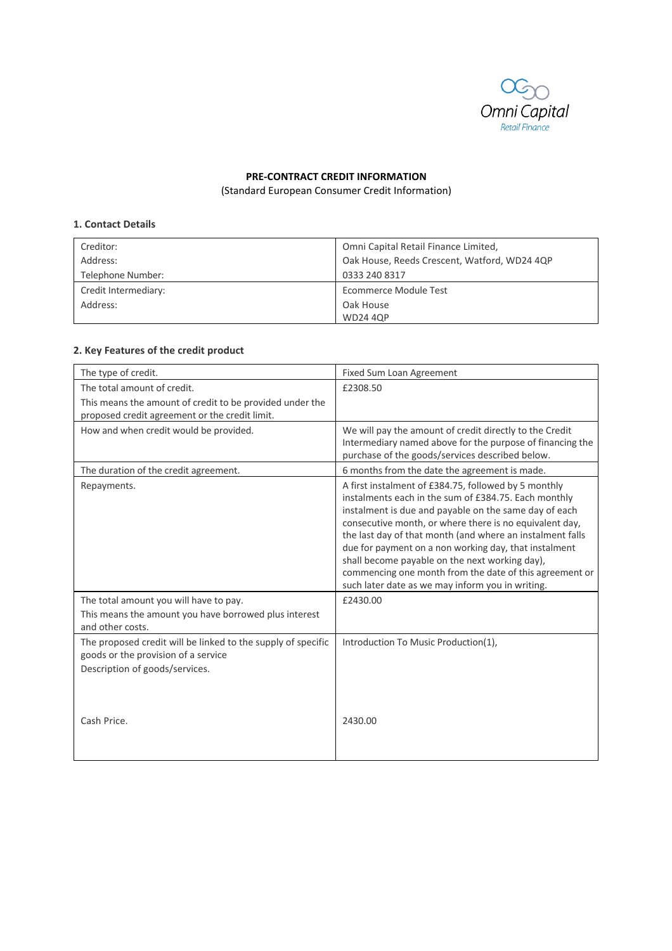

# **PRE‐CONTRACT CREDIT INFORMATION**

(Standard European Consumer Credit Information)

#### **1. Contact Details**

| Creditor:            | Omni Capital Retail Finance Limited,         |
|----------------------|----------------------------------------------|
| Address:             | Oak House, Reeds Crescent, Watford, WD24 4QP |
| Telephone Number:    | 0333 240 8317                                |
| Credit Intermediary: | Ecommerce Module Test                        |
| Address:             | Oak House                                    |
|                      | <b>WD24 4QP</b>                              |

# **2. Key Features of the credit product**

| The type of credit.                                                                                 | Fixed Sum Loan Agreement                                                                                                                                                                                                                                                                                                                                                                                                                                                                                                |
|-----------------------------------------------------------------------------------------------------|-------------------------------------------------------------------------------------------------------------------------------------------------------------------------------------------------------------------------------------------------------------------------------------------------------------------------------------------------------------------------------------------------------------------------------------------------------------------------------------------------------------------------|
| The total amount of credit.                                                                         | £2308.50                                                                                                                                                                                                                                                                                                                                                                                                                                                                                                                |
| This means the amount of credit to be provided under the                                            |                                                                                                                                                                                                                                                                                                                                                                                                                                                                                                                         |
| proposed credit agreement or the credit limit.                                                      |                                                                                                                                                                                                                                                                                                                                                                                                                                                                                                                         |
| How and when credit would be provided.                                                              | We will pay the amount of credit directly to the Credit<br>Intermediary named above for the purpose of financing the<br>purchase of the goods/services described below.                                                                                                                                                                                                                                                                                                                                                 |
| The duration of the credit agreement.                                                               | 6 months from the date the agreement is made.                                                                                                                                                                                                                                                                                                                                                                                                                                                                           |
| Repayments.                                                                                         | A first instalment of £384.75, followed by 5 monthly<br>instalments each in the sum of £384.75. Each monthly<br>instalment is due and payable on the same day of each<br>consecutive month, or where there is no equivalent day,<br>the last day of that month (and where an instalment falls<br>due for payment on a non working day, that instalment<br>shall become payable on the next working day),<br>commencing one month from the date of this agreement or<br>such later date as we may inform you in writing. |
| The total amount you will have to pay.                                                              | £2430.00                                                                                                                                                                                                                                                                                                                                                                                                                                                                                                                |
| This means the amount you have borrowed plus interest<br>and other costs.                           |                                                                                                                                                                                                                                                                                                                                                                                                                                                                                                                         |
| The proposed credit will be linked to the supply of specific<br>goods or the provision of a service | Introduction To Music Production(1),                                                                                                                                                                                                                                                                                                                                                                                                                                                                                    |
| Description of goods/services.                                                                      |                                                                                                                                                                                                                                                                                                                                                                                                                                                                                                                         |
| Cash Price.                                                                                         | 2430.00                                                                                                                                                                                                                                                                                                                                                                                                                                                                                                                 |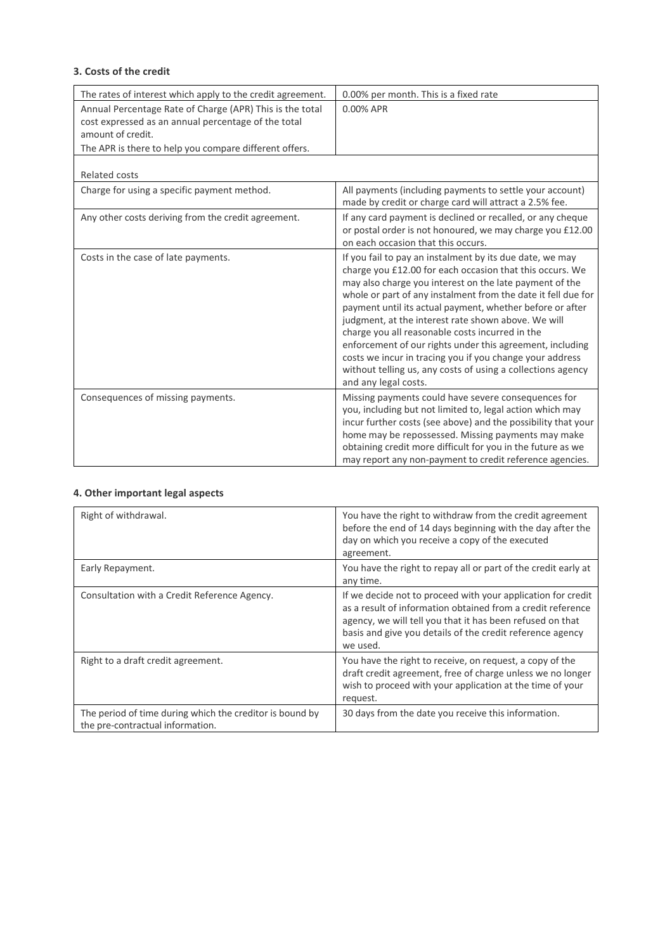# **3. Costs of the credit**

| The rates of interest which apply to the credit agreement.                                                                                                                                     | 0.00% per month. This is a fixed rate                                                                                                                                                                                                                                                                                                                                                                                                                                                                                                                                                                                                   |
|------------------------------------------------------------------------------------------------------------------------------------------------------------------------------------------------|-----------------------------------------------------------------------------------------------------------------------------------------------------------------------------------------------------------------------------------------------------------------------------------------------------------------------------------------------------------------------------------------------------------------------------------------------------------------------------------------------------------------------------------------------------------------------------------------------------------------------------------------|
| Annual Percentage Rate of Charge (APR) This is the total<br>cost expressed as an annual percentage of the total<br>amount of credit.<br>The APR is there to help you compare different offers. | 0.00% APR                                                                                                                                                                                                                                                                                                                                                                                                                                                                                                                                                                                                                               |
| <b>Related costs</b>                                                                                                                                                                           |                                                                                                                                                                                                                                                                                                                                                                                                                                                                                                                                                                                                                                         |
| Charge for using a specific payment method.                                                                                                                                                    | All payments (including payments to settle your account)<br>made by credit or charge card will attract a 2.5% fee.                                                                                                                                                                                                                                                                                                                                                                                                                                                                                                                      |
| Any other costs deriving from the credit agreement.                                                                                                                                            | If any card payment is declined or recalled, or any cheque<br>or postal order is not honoured, we may charge you £12.00<br>on each occasion that this occurs.                                                                                                                                                                                                                                                                                                                                                                                                                                                                           |
| Costs in the case of late payments.                                                                                                                                                            | If you fail to pay an instalment by its due date, we may<br>charge you £12.00 for each occasion that this occurs. We<br>may also charge you interest on the late payment of the<br>whole or part of any instalment from the date it fell due for<br>payment until its actual payment, whether before or after<br>judgment, at the interest rate shown above. We will<br>charge you all reasonable costs incurred in the<br>enforcement of our rights under this agreement, including<br>costs we incur in tracing you if you change your address<br>without telling us, any costs of using a collections agency<br>and any legal costs. |
| Consequences of missing payments.                                                                                                                                                              | Missing payments could have severe consequences for<br>you, including but not limited to, legal action which may<br>incur further costs (see above) and the possibility that your<br>home may be repossessed. Missing payments may make<br>obtaining credit more difficult for you in the future as we<br>may report any non-payment to credit reference agencies.                                                                                                                                                                                                                                                                      |

# **4. Other important legal aspects**

| Right of withdrawal.                                                                         | You have the right to withdraw from the credit agreement<br>before the end of 14 days beginning with the day after the<br>day on which you receive a copy of the executed<br>agreement.                                                                           |
|----------------------------------------------------------------------------------------------|-------------------------------------------------------------------------------------------------------------------------------------------------------------------------------------------------------------------------------------------------------------------|
| Early Repayment.                                                                             | You have the right to repay all or part of the credit early at<br>any time.                                                                                                                                                                                       |
| Consultation with a Credit Reference Agency.                                                 | If we decide not to proceed with your application for credit<br>as a result of information obtained from a credit reference<br>agency, we will tell you that it has been refused on that<br>basis and give you details of the credit reference agency<br>we used. |
| Right to a draft credit agreement.                                                           | You have the right to receive, on request, a copy of the<br>draft credit agreement, free of charge unless we no longer<br>wish to proceed with your application at the time of your<br>request.                                                                   |
| The period of time during which the creditor is bound by<br>the pre-contractual information. | 30 days from the date you receive this information.                                                                                                                                                                                                               |